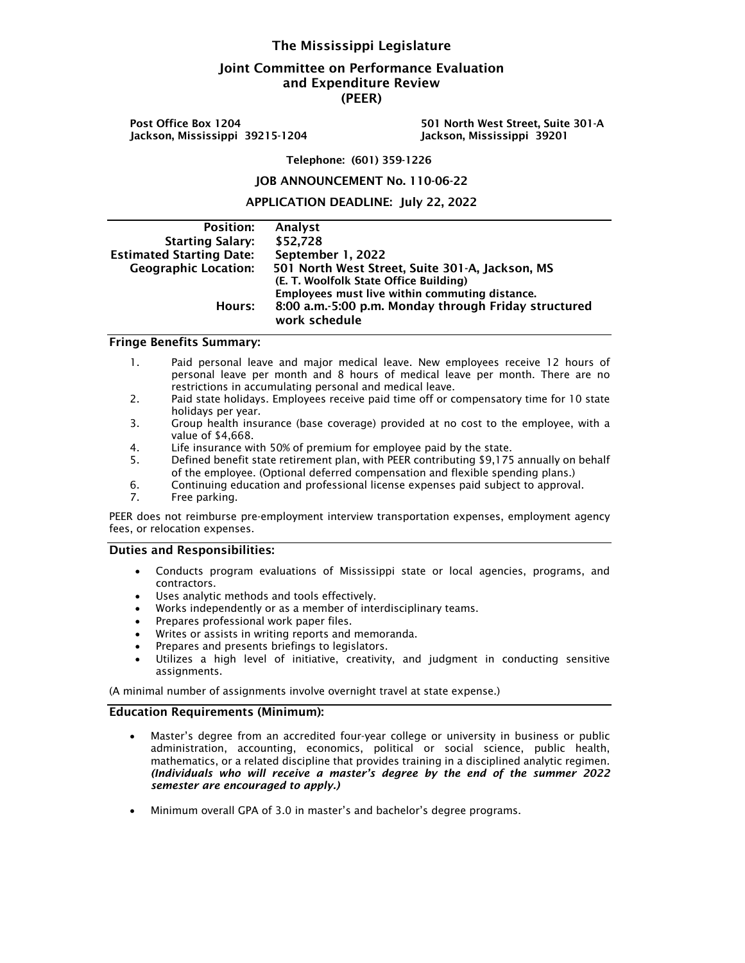## The Mississippi Legislature

# Joint Committee on Performance Evaluation and Expenditure Review (PEER)

Post Office Box 1204 501 North West Street, Suite 301-A Jackson, Mississippi 39215-1204 Jackson, Mississippi 39201

Telephone: (601) 359-1226

#### JOB ANNOUNCEMENT No. 110-06-22

APPLICATION DEADLINE: July 22, 2022

| <b>Position:</b>                | Analyst                                                               |
|---------------------------------|-----------------------------------------------------------------------|
| <b>Starting Salary:</b>         | \$52,728                                                              |
| <b>Estimated Starting Date:</b> | September 1, 2022                                                     |
| <b>Geographic Location:</b>     | 501 North West Street, Suite 301-A, Jackson, MS                       |
|                                 | (E. T. Woolfolk State Office Building)                                |
|                                 | Employees must live within commuting distance.                        |
| Hours:                          | 8:00 a.m.-5:00 p.m. Monday through Friday structured<br>work schedule |

### Fringe Benefits Summary:

- 1. Paid personal leave and major medical leave. New employees receive 12 hours of personal leave per month and 8 hours of medical leave per month. There are no restrictions in accumulating personal and medical leave.
- 2. Paid state holidays. Employees receive paid time off or compensatory time for 10 state holidays per year.
- 3. Group health insurance (base coverage) provided at no cost to the employee, with a value of \$4,668.
- 4. Life insurance with 50% of premium for employee paid by the state.
- 5. Defined benefit state retirement plan, with PEER contributing \$9,175 annually on behalf of the employee. (Optional deferred compensation and flexible spending plans.)
- 6. Continuing education and professional license expenses paid subject to approval.
- 7. Free parking.

PEER does not reimburse pre-employment interview transportation expenses, employment agency fees, or relocation expenses.

#### Duties and Responsibilities:

- Conducts program evaluations of Mississippi state or local agencies, programs, and contractors.
- Uses analytic methods and tools effectively.
- Works independently or as a member of interdisciplinary teams.
- Prepares professional work paper files.
- Writes or assists in writing reports and memoranda.
- Prepares and presents briefings to legislators.
- Utilizes a high level of initiative, creativity, and judgment in conducting sensitive assignments.

(A minimal number of assignments involve overnight travel at state expense.)

### Education Requirements (Minimum):

- Master's degree from an accredited four-year college or university in business or public administration, accounting, economics, political or social science, public health, mathematics, or a related discipline that provides training in a disciplined analytic regimen. *(Individuals who will receive a master's degree by the end of the summer 2022 semester are encouraged to apply.)*
- Minimum overall GPA of 3.0 in master's and bachelor's degree programs.